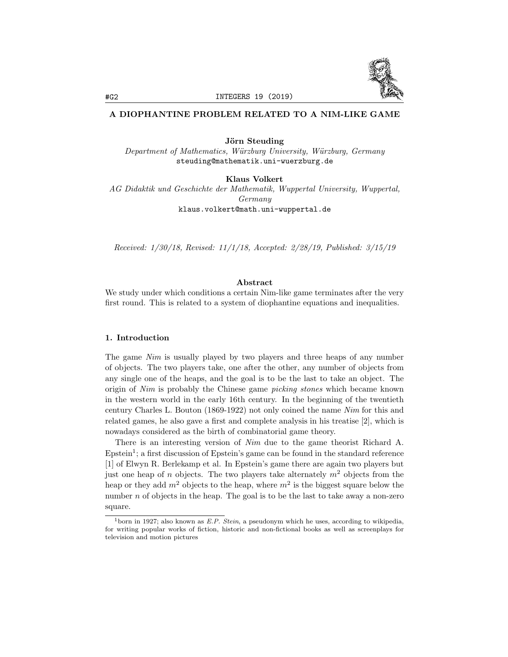

# A DIOPHANTINE PROBLEM RELATED TO A NIM-LIKE GAME

Jörn Steuding *Department* of *Mathematics, Würzburg University, Würzburg, Germany* steuding@mathematik.uni-wuerzburg.de

Klaus Volkert

*AG Didaktik und Geschichte der Mathematik, Wuppertal University, Wuppertal, Germany* klaus.volkert@math.uni-wuppertal.de

*Received: 1/30/18, Revised: 11/1/18, Accepted: 2/28/19, Published: 3/15/19*

## Abstract

We study under which conditions a certain Nim-like game terminates after the very first round. This is related to a system of diophantine equations and inequalities.

# 1. Introduction

The game *Nim* is usually played by two players and three heaps of any number of objects. The two players take, one after the other, any number of objects from any single one of the heaps, and the goal is to be the last to take an object. The origin of *Nim* is probably the Chinese game *picking stones* which became known in the western world in the early 16th century. In the beginning of the twentieth century Charles L. Bouton (1869-1922) not only coined the name *Nim* for this and related games, he also gave a first and complete analysis in his treatise [2], which is nowadays considered as the birth of combinatorial game theory.

There is an interesting version of *Nim* due to the game theorist Richard A.  $E$ pstein<sup>1</sup>; a first discussion of Epstein's game can be found in the standard reference [1] of Elwyn R. Berlekamp et al. In Epstein's game there are again two players but just one heap of *n* objects. The two players take alternately *m*<sup>2</sup> objects from the heap or they add  $m^2$  objects to the heap, where  $m^2$  is the biggest square below the number  $n$  of objects in the heap. The goal is to be the last to take away a non-zero square.

<sup>1</sup>born in 1927; also known as *E.P. Stein*, a pseudonym which he uses, according to wikipedia, for writing popular works of fiction, historic and non-fictional books as well as screenplays for television and motion pictures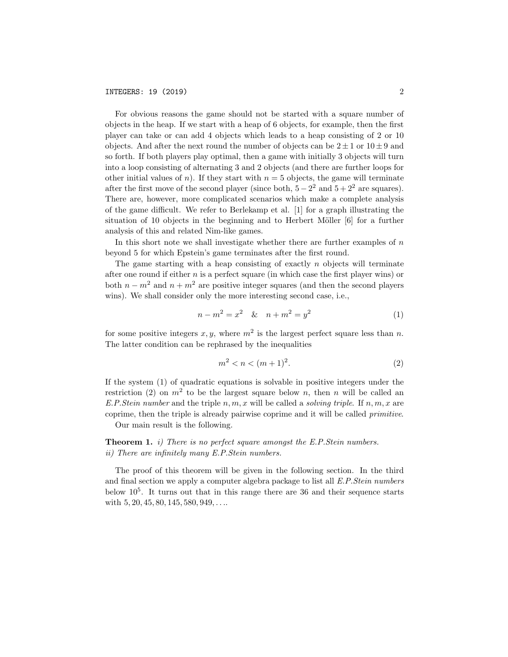For obvious reasons the game should not be started with a square number of objects in the heap. If we start with a heap of 6 objects, for example, then the first player can take or can add 4 objects which leads to a heap consisting of 2 or 10 objects. And after the next round the number of objects can be  $2 \pm 1$  or  $10 \pm 9$  and so forth. If both players play optimal, then a game with initially 3 objects will turn into a loop consisting of alternating 3 and 2 objects (and there are further loops for other initial values of *n*). If they start with  $n = 5$  objects, the game will terminate after the first move of the second player (since both,  $5 - 2^2$  and  $5 + 2^2$  are squares). There are, however, more complicated scenarios which make a complete analysis of the game difficult. We refer to Berlekamp et al.  $[1]$  for a graph illustrating the situation of 10 objects in the beginning and to Herbert Möller  $[6]$  for a further analysis of this and related Nim-like games.

In this short note we shall investigate whether there are further examples of *n* beyond 5 for which Epstein's game terminates after the first round.

The game starting with a heap consisting of exactly *n* objects will terminate after one round if either *n* is a perfect square (in which case the first player wins) or both  $n - m^2$  and  $n + m^2$  are positive integer squares (and then the second players wins). We shall consider only the more interesting second case, i.e.,

$$
n - m2 = x2 \& n + m2 = y2
$$
 (1)

for some positive integers  $x, y$ , where  $m^2$  is the largest perfect square less than *n*. The latter condition can be rephrased by the inequalities

$$
m^2 < n < (m+1)^2. \tag{2}
$$

If the system (1) of quadratic equations is solvable in positive integers under the restriction (2) on  $m^2$  to be the largest square below *n*, then *n* will be called an *E.P.Stein number* and the triple  $n, m, x$  will be called a *solving triple*. If  $n, m, x$  are coprime, then the triple is already pairwise coprime and it will be called *primitive*.

Our main result is the following.

Theorem 1. *i) There is no perfect square amongst the E.P.Stein numbers. ii) There are infinitely many E.P.Stein numbers.*

The proof of this theorem will be given in the following section. In the third and final section we apply a computer algebra package to list all *E.P.Stein numbers* below  $10^5$ . It turns out that in this range there are 36 and their sequence starts with 5*,* 20*,* 45*,* 80*,* 145*,* 580*,* 949*, . . .*.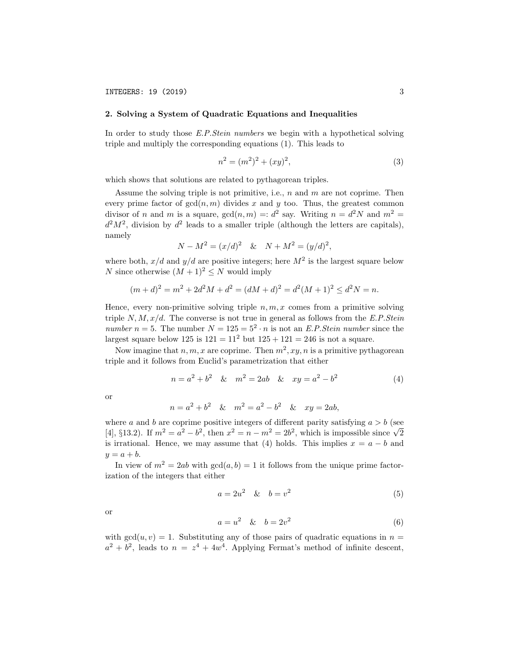#### 2. Solving a System of Quadratic Equations and Inequalities

In order to study those *E.P.Stein numbers* we begin with a hypothetical solving triple and multiply the corresponding equations (1). This leads to

$$
n^2 = (m^2)^2 + (xy)^2,\tag{3}
$$

which shows that solutions are related to pythagorean triples.

Assume the solving triple is not primitive, i.e., *n* and *m* are not coprime. Then every prime factor of  $gcd(n, m)$  divides x and y too. Thus, the greatest common divisor of *n* and *m* is a square,  $gcd(n, m) =: d^2$  say. Writing  $n = d^2N$  and  $m^2 =$  $d^2M^2$ , division by  $d^2$  leads to a smaller triple (although the letters are capitals), namely

$$
N - M^2 = (x/d)^2 \& N + M^2 = (y/d)^2,
$$

where both,  $x/d$  and  $y/d$  are positive integers; here  $M^2$  is the largest square below *N* since otherwise  $(M + 1)^2 \leq N$  would imply

$$
(m+d)^2 = m^2 + 2d^2M + d^2 = (dM+d)^2 = d^2(M+1)^2 \le d^2N = n.
$$

Hence, every non-primitive solving triple  $n, m, x$  comes from a primitive solving triple  $N, M, x/d$ . The converse is not true in general as follows from the *E.P.Stein number*  $n = 5$ . The number  $N = 125 = 5^2 \cdot n$  is not an *E.P.Stein number* since the largest square below 125 is  $121 = 11^2$  but  $125 + 121 = 246$  is not a square.

Now imagine that  $n, m, x$  are coprime. Then  $m^2, xy, n$  is a primitive pythagorean triple and it follows from Euclid's parametrization that either

$$
n = a2 + b2 \& m2 = 2ab \& xy = a2 - b2
$$
 (4)

or

$$
n = a2 + b2
$$
 &  $m2 = a2 - b2$  &  $xy = 2ab$ ,

where *a* and *b* are coprime positive integers of different parity satisfying  $a > b$  (see [4], §13.2). If  $m^2 = a^2 - b^2$ , then  $x^2 = n - m^2 = 2b^2$ , which is impossible since  $\sqrt{2}$ is irrational. Hence, we may assume that (4) holds. This implies  $x = a - b$  and  $y = a + b$ .

In view of  $m^2 = 2ab$  with  $gcd(a, b) = 1$  it follows from the unique prime factorization of the integers that either

$$
a = 2u^2 \quad & b = v^2 \tag{5}
$$

or

$$
a = u^2 \quad & b = 2v^2 \tag{6}
$$

with  $gcd(u, v) = 1$ . Substituting any of those pairs of quadratic equations in  $n =$  $a^2 + b^2$ , leads to  $n = z^4 + 4w^4$ . Applying Fermat's method of infinite descent,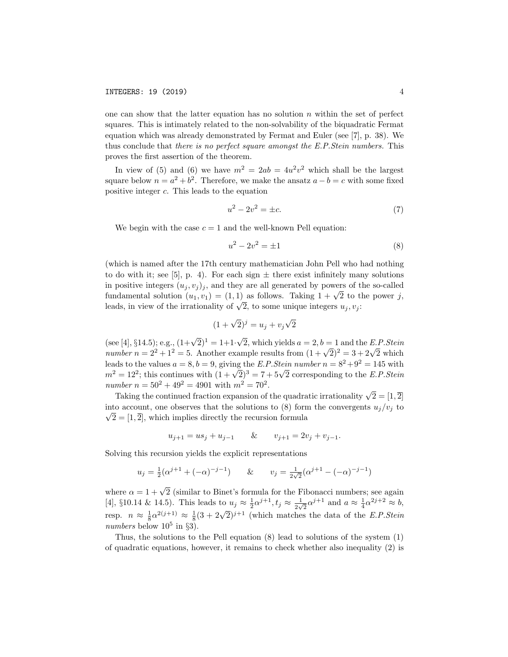one can show that the latter equation has no solution *n* within the set of perfect squares. This is intimately related to the non-solvability of the biquadratic Fermat equation which was already demonstrated by Fermat and Euler (see [7], p. 38). We thus conclude that *there is no perfect square amongst the E.P.Stein numbers.* This proves the first assertion of the theorem.

In view of (5) and (6) we have  $m^2 = 2ab = 4u^2v^2$  which shall be the largest square below  $n = a^2 + b^2$ . Therefore, we make the ansatz  $a - b = c$  with some fixed positive integer *c*. This leads to the equation

$$
u^2 - 2v^2 = \pm c.\t\t(7)
$$

We begin with the case  $c = 1$  and the well-known Pell equation:

$$
u^2 - 2v^2 = \pm 1\tag{8}
$$

(which is named after the 17th century mathematician John Pell who had nothing to do with it; see [5], p. 4). For each sign  $\pm$  there exist infinitely many solutions in positive integers  $(u_j, v_j)_j$ , and they are all generated by powers of the so-called fundamental solution  $(u_1, v_1) = (1, 1)$  as follows. Taking  $1 + \sqrt{2}$  to the power *j*, leads, in view of the irrationality of  $\sqrt{2}$ , to some unique integers  $u_i, v_i$ .

$$
(1+\sqrt{2})^j = u_j + v_j\sqrt{2}
$$

(see [4], §14.5); e.g.,  $(1+\sqrt{2})^1 = 1+1\cdot\sqrt{2}$ , which yields  $a = 2, b = 1$  and the *E.P.Stein number*  $n = 2^2 + 1^2 = 5$ . Another example results from  $(1 + \sqrt{2})^2 = 3 + 2\sqrt{2}$  which leads to the values  $a = 8, b = 9$ , giving the *E.P.Stein number*  $n = 8^2 + 9^2 = 145$  with  $m^2 = 12^2$ ; this continues with  $(1 + \sqrt{2})^3 = 7 + 5\sqrt{2}$  corresponding to the *E.P.Stein number*  $n = 50^2 + 49^2 = 4901$  with  $m^2 = 70^2$ .

Taking the continued fraction expansion of the quadratic irrationality  $\sqrt{2} = [1, \overline{2}]$ into account, one observes that the solutions to (8) form the convergents  $u_j/v_j$  to  $\sqrt{2} = [1, \overline{2}]$ , which implies directly the recursion formula

$$
u_{j+1} = us_j + u_{j-1}
$$
 &  $v_{j+1} = 2v_j + v_{j-1}$ .

Solving this recursion yields the explicit representations

$$
u_j = \frac{1}{2}(\alpha^{j+1} + (-\alpha)^{-j-1})
$$
 &  $v_j = \frac{1}{2\sqrt{2}}(\alpha^{j+1} - (-\alpha)^{-j-1})$ 

where  $\alpha = 1 + \sqrt{2}$  (similar to Binet's formula for the Fibonacci numbers; see again  $[4]$ , §10.14 & 14.5). This leads to  $u_j \approx \frac{1}{2} \alpha^{j+1}$ ,  $t_j \approx \frac{1}{2\sqrt{2}} \alpha^{j+1}$  and  $a \approx \frac{1}{4} \alpha^{2j+2} \approx b$ , resp.  $n \approx \frac{1}{8} \alpha^{2(j+1)} \approx \frac{1}{8} (3 + 2\sqrt{2})^{j+1}$  (which matches the data of the *E.P.Stein numbers* below  $10^5$  in §3).

Thus, the solutions to the Pell equation (8) lead to solutions of the system (1) of quadratic equations, however, it remains to check whether also inequality (2) is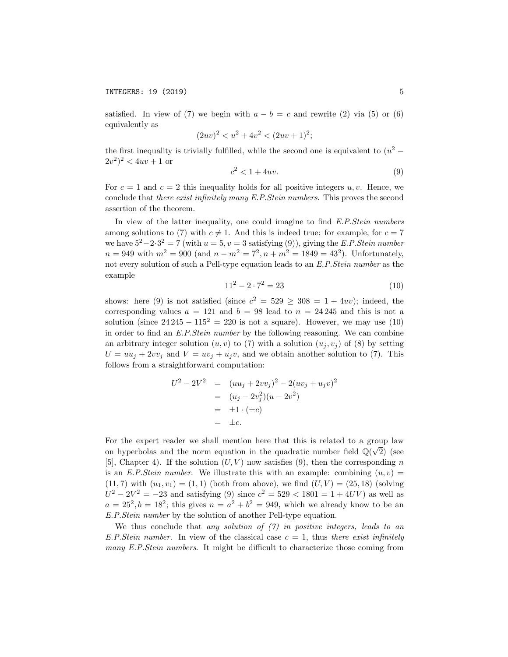satisfied. In view of (7) we begin with  $a - b = c$  and rewrite (2) via (5) or (6) equivalently as

$$
(2uv)^2 < u^2 + 4v^2 < (2uv + 1)^2
$$

the first inequality is trivially fulfilled, while the second one is equivalent to  $(u^2 (2v^2)^2 < 4uv + 1$  or

$$
c^2 < 1 + 4uv. \tag{9}
$$

For  $c = 1$  and  $c = 2$  this inequality holds for all positive integers  $u, v$ . Hence, we conclude that *there exist infinitely many E.P.Stein numbers*. This proves the second assertion of the theorem.

In view of the latter inequality, one could imagine to find *E.P.Stein numbers* among solutions to (7) with  $c \neq 1$ . And this is indeed true: for example, for  $c = 7$ we have  $5^2-2 \cdot 3^2 = 7$  (with  $u = 5$ ,  $v = 3$  satisfying (9)), giving the *E.P.Stein number*  $n = 949$  with  $m^2 = 900$  (and  $n - m^2 = 7^2$ ,  $n + m^2 = 1849 = 43^2$ ). Unfortunately, not every solution of such a Pell-type equation leads to an *E.P.Stein number* as the example

$$
11^2 - 2 \cdot 7^2 = 23\tag{10}
$$

shows: here (9) is not satisfied (since  $c^2 = 529 \ge 308 = 1 + 4uv$ ); indeed, the corresponding values  $a = 121$  and  $b = 98$  lead to  $n = 24245$  and this is not a solution (since  $24\,245 - 115^2 = 220$  is not a square). However, we may use (10) in order to find an *E.P.Stein number* by the following reasoning. We can combine an arbitrary integer solution  $(u, v)$  to (7) with a solution  $(u_i, v_j)$  of (8) by setting  $U = uu_j + 2vv_j$  and  $V = uv_j + u_jv$ , and we obtain another solution to (7). This follows from a straightforward computation:

$$
U^2 - 2V^2 = (uu_j + 2vv_j)^2 - 2(uv_j + u_jv)^2
$$
  
=  $(u_j - 2v_j^2)(u - 2v^2)$   
=  $\pm 1 \cdot (\pm c)$   
=  $\pm c$ .

For the expert reader we shall mention here that this is related to a group law on hyperbolas and the norm equation in the quadratic number field  $\mathbb{Q}(\sqrt{2})$  (see [5], Chapter 4). If the solution  $(U, V)$  now satisfies (9), then the corresponding *n* is an *E.P.Stein number.* We illustrate this with an example: combining  $(u, v)$  =  $(11, 7)$  with  $(u_1, v_1) = (1, 1)$  (both from above), we find  $(U, V) = (25, 18)$  (solving  $U^2 - 2V^2 = -23$  and satisfying (9) since  $c^2 = 529 < 1801 = 1 + 4UV$  as well as  $a = 25^2$ ,  $b = 18^2$ ; this gives  $n = a^2 + b^2 = 949$ , which we already know to be an *E.P.Stein number* by the solution of another Pell-type equation.

We thus conclude that *any solution of (7) in positive integers, leads to an E.P.Stein number.* In view of the classical case  $c = 1$ , thus there exist infinitely *many E.P.Stein numbers*. It might be difficult to characterize those coming from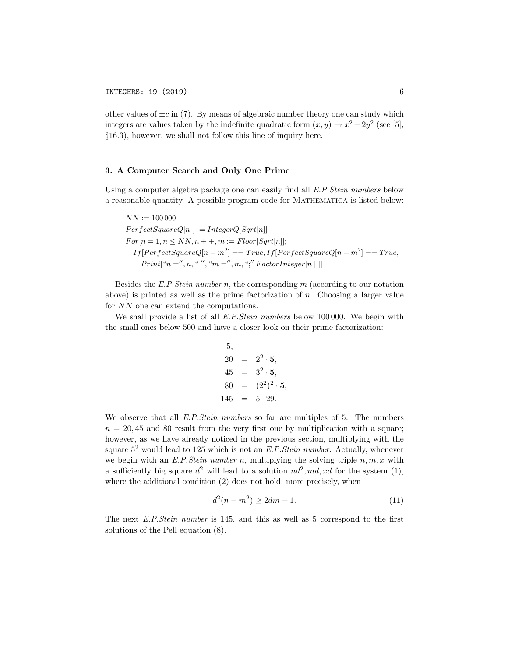other values of  $\pm c$  in (7). By means of algebraic number theory one can study which integers are values taken by the indefinite quadratic form  $(x, y) \rightarrow x^2 - 2y^2$  (see [5], *§*16.3), however, we shall not follow this line of inquiry here.

## 3. A Computer Search and Only One Prime

Using a computer algebra package one can easily find all *E.P.Stein numbers* below a reasonable quantity. A possible program code for Mathematica is listed below:

$$
NN := 100\,000
$$
  
PerfectSquareQ[n.] := IntegerQ[Sqrt[n]]  
For[n = 1, n \le NN, n + +, m := Floor[Sqrt[n]];  
If[PerfectSquareQ[n - m<sup>2</sup>] == True, If[PerfectSquareQ[n + m<sup>2</sup>] == True,  
Print["n =", n, " ", "m =", m, ";" FactorInteger[n]]]]]

Besides the *E.P.Stein number n*, the corresponding *m* (according to our notation above) is printed as well as the prime factorization of *n*. Choosing a larger value for *NN* one can extend the computations.

We shall provide a list of all *E.P.Stein numbers* below 100 000. We begin with the small ones below 500 and have a closer look on their prime factorization:

5,  
\n
$$
20 = 2^2 \cdot 5,
$$
\n
$$
45 = 3^2 \cdot 5,
$$
\n
$$
80 = (2^2)^2 \cdot 5,
$$
\n
$$
145 = 5 \cdot 29.
$$

We observe that all *E.P.Stein numbers* so far are multiples of 5. The numbers  $n = 20,45$  and 80 result from the very first one by multiplication with a square; however, as we have already noticed in the previous section, multiplying with the square 5<sup>2</sup> would lead to 125 which is not an *E.P.Stein number*. Actually, whenever we begin with an *E.P.Stein number n*, multiplying the solving triple  $n, m, x$  with a sufficiently big square  $d^2$  will lead to a solution  $nd^2$ ,  $md$ ,  $xd$  for the system (1), where the additional condition  $(2)$  does not hold; more precisely, when

$$
d^2(n - m^2) \ge 2dm + 1. \tag{11}
$$

The next *E.P.Stein number* is 145, and this as well as 5 correspond to the first solutions of the Pell equation (8).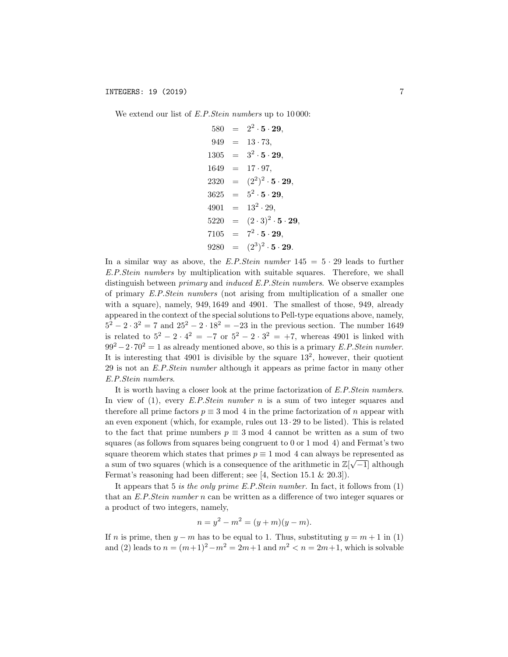We extend our list of *E.P.Stein numbers* up to 10 000:

$$
580 = 2^2 \cdot 5 \cdot 29,
$$
  
\n
$$
949 = 13 \cdot 73,
$$
  
\n
$$
1305 = 3^2 \cdot 5 \cdot 29,
$$
  
\n
$$
1649 = 17 \cdot 97,
$$
  
\n
$$
2320 = (2^2)^2 \cdot 5 \cdot 29,
$$
  
\n
$$
3625 = 5^2 \cdot 5 \cdot 29,
$$
  
\n
$$
4901 = 13^2 \cdot 29,
$$
  
\n
$$
5220 = (2 \cdot 3)^2 \cdot 5 \cdot 29,
$$
  
\n
$$
7105 = 7^2 \cdot 5 \cdot 29,
$$
  
\n
$$
9280 = (2^3)^2 \cdot 5 \cdot 29.
$$

In a similar way as above, the *E.P.Stein number*  $145 = 5 \cdot 29$  leads to further *E.P.Stein numbers* by multiplication with suitable squares. Therefore, we shall distinguish between *primary* and *induced E.P.Stein numbers*. We observe examples of primary *E.P.Stein numbers* (not arising from multiplication of a smaller one with a square), namely, 949*,* 1649 and 4901. The smallest of those, 949, already appeared in the context of the special solutions to Pell-type equations above, namely,  $5^2 - 2 \cdot 3^2 = 7$  and  $25^2 - 2 \cdot 18^2 = -23$  in the previous section. The number 1649 is related to  $5^2 - 2 \cdot 4^2 = -7$  or  $5^2 - 2 \cdot 3^2 = +7$ , whereas 4901 is linked with  $99^2 - 2 \cdot 70^2 = 1$  as already mentioned above, so this is a primary *E.P.Stein number*. It is interesting that  $4901$  is divisible by the square  $13<sup>2</sup>$ , however, their quotient 29 is not an *E.P.Stein number* although it appears as prime factor in many other *E.P.Stein numbers*.

It is worth having a closer look at the prime factorization of *E.P.Stein numbers*. In view of (1), every *E.P.Stein number n* is a sum of two integer squares and therefore all prime factors  $p \equiv 3 \mod 4$  in the prime factorization of *n* appear with an even exponent (which, for example, rules out  $13 \cdot 29$  to be listed). This is related to the fact that prime numbers  $p \equiv 3 \mod 4$  cannot be written as a sum of two squares (as follows from squares being congruent to 0 or 1 mod 4) and Fermat's two square theorem which states that primes  $p \equiv 1 \mod 4$  can always be represented as a sum of two squares (which is a consequence of the arithmetic in  $\mathbb{Z}[\sqrt{-1}]$  although Fermat's reasoning had been different; see [4, Section 15.1  $\&$  20.3]).

It appears that 5 *is the only prime E.P.Stein number.* In fact, it follows from (1) that an *E.P.Stein number n* can be written as a difference of two integer squares or a product of two integers, namely,

$$
n = y^2 - m^2 = (y + m)(y - m).
$$

If *n* is prime, then  $y - m$  has to be equal to 1. Thus, substituting  $y = m + 1$  in (1) and (2) leads to  $n = (m+1)^2 - m^2 = 2m+1$  and  $m^2 < n = 2m+1$ , which is solvable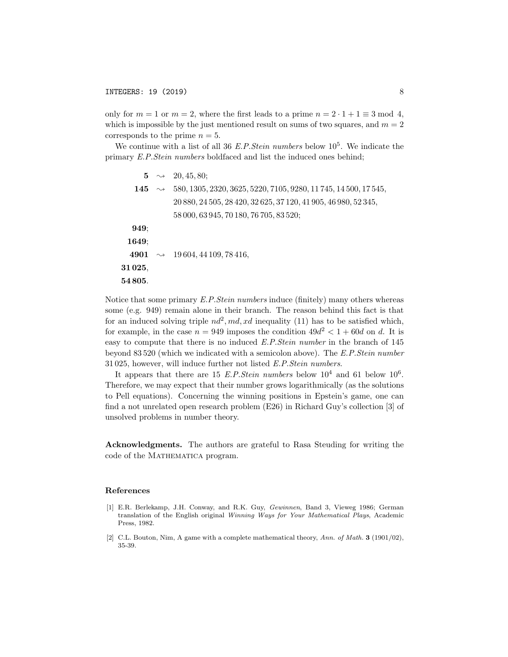only for  $m = 1$  or  $m = 2$ , where the first leads to a prime  $n = 2 \cdot 1 + 1 \equiv 3 \mod 4$ , which is impossible by the just mentioned result on sums of two squares, and  $m = 2$ corresponds to the prime  $n = 5$ .

We continue with a list of all 36 *E.P.Stein numbers* below 10<sup>5</sup>. We indicate the primary *E.P.Stein numbers* boldfaced and list the induced ones behind;

5  $\rightarrow$  20, 45*, 80*; 145 ; 580*,* 1305*,* 2320*,* 3625*,* 5220*,* 7105*,* 9280*,* 11 745*,* 14 500*,* 17 545*,* 20 880*,* 24 505*,* 28 420*,* 32 625*,* 37 120*,* 41 905*,* 46 980*,* 52 345*,* 58 000*,* 63 945*,* 70 180*,* 76 705*,* 83 520; 949; 1649; 4901 ; 19 604*,* 44 109*,* 78 416*,* 31 025*,* 54 805*.*

Notice that some primary *E.P.Stein numbers* induce (finitely) many others whereas some (e.g. 949) remain alone in their branch. The reason behind this fact is that for an induced solving triple  $nd^2$ ,  $md$ ,  $xd$  inequality (11) has to be satisfied which, for example, in the case  $n = 949$  imposes the condition  $49d^2 < 1 + 60d$  on d. It is easy to compute that there is no induced *E.P.Stein number* in the branch of 145 beyond 83 520 (which we indicated with a semicolon above). The *E.P.Stein number* 31 025, however, will induce further not listed *E.P.Stein numbers*.

It appears that there are 15 *E.P.Stein numbers* below  $10^4$  and 61 below  $10^6$ . Therefore, we may expect that their number grows logarithmically (as the solutions to Pell equations). Concerning the winning positions in Epstein's game, one can find a not unrelated open research problem (E26) in Richard Guy's collection [3] of unsolved problems in number theory.

Acknowledgments. The authors are grateful to Rasa Steuding for writing the code of the MATHEMATICA program.

#### References

- [1] E.R. Berlekamp, J.H. Conway, and R.K. Guy, *Gewinnen*, Band 3, Vieweg 1986; German translation of the English original *Winning Ways for Your Mathematical Plays*, Academic Press, 1982.
- [2] C.L. Bouton, Nim, A game with a complete mathematical theory, *Ann. of Math.* 3 (1901/02), 35-39.